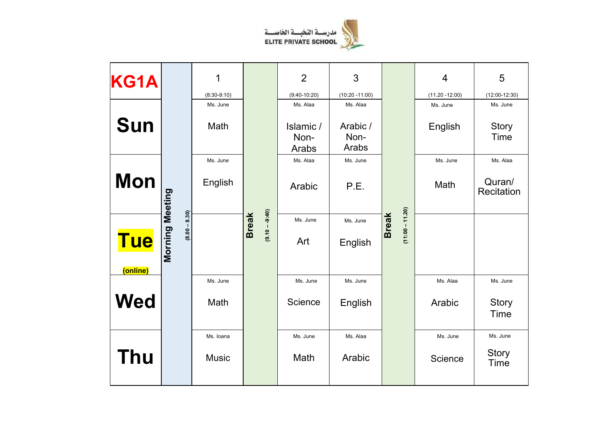

| KG1A                   |                                    | 1                         |                                  | $\overline{2}$             | 3                             |                                   | $\overline{4}$                | 5                           |
|------------------------|------------------------------------|---------------------------|----------------------------------|----------------------------|-------------------------------|-----------------------------------|-------------------------------|-----------------------------|
|                        |                                    | $(8:30-9:10)$<br>Ms. June |                                  | $(9:40-10:20)$<br>Ms. Alaa | $(10:20 - 11:00)$<br>Ms. Alaa |                                   | $(11.20 - 12:00)$<br>Ms. June | $(12:00-12:30)$<br>Ms. June |
| <b>Sun</b>             |                                    | Math                      |                                  | Islamic /<br>Non-<br>Arabs | Arabic /<br>Non-<br>Arabs     |                                   | English                       | <b>Story</b><br><b>Time</b> |
|                        |                                    | Ms. June                  |                                  | Ms. Alaa                   | Ms. June                      |                                   | Ms. June                      | Ms. Alaa                    |
| <b>Mon</b>             |                                    | English                   |                                  | Arabic                     | P.E.                          |                                   | Math                          | Quran/<br>Recitation        |
|                        |                                    |                           |                                  | Ms. June                   | Ms. June                      |                                   |                               |                             |
| <b>Tue</b><br>(online) | Morning Meeting<br>$(8.00 - 8.30)$ |                           | $(9.10 - -9.40)$<br><b>Break</b> | Art                        | English                       | $(11:00 - 11.20)$<br><b>Break</b> |                               |                             |
|                        |                                    | Ms. June                  |                                  | Ms. June                   | Ms. June                      |                                   | Ms. Alaa                      | Ms. June                    |
| <b>Wed</b>             |                                    | Math                      |                                  | Science                    | English                       |                                   | Arabic                        | <b>Story</b><br><b>Time</b> |
|                        |                                    | Ms. Ioana                 |                                  | Ms. June                   | Ms. Alaa                      |                                   | Ms. June                      | Ms. June                    |
| <b>Thu</b>             |                                    | <b>Music</b>              |                                  | Math                       | Arabic                        |                                   | Science                       | <b>Story</b><br><b>Time</b> |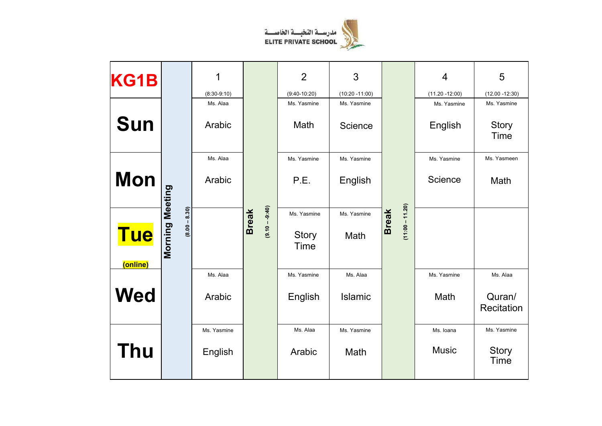

| <b>KG1B</b>            |                                    | 1                         |                             | $\overline{2}$                | 3                                |                                   | $\overline{4}$                   | 5                                |
|------------------------|------------------------------------|---------------------------|-----------------------------|-------------------------------|----------------------------------|-----------------------------------|----------------------------------|----------------------------------|
|                        |                                    | $(8:30-9:10)$<br>Ms. Alaa |                             | $(9:40-10:20)$<br>Ms. Yasmine | $(10:20 - 11:00)$<br>Ms. Yasmine |                                   | $(11.20 - 12:00)$<br>Ms. Yasmine | $(12.00 - 12:30)$<br>Ms. Yasmine |
| <b>Sun</b>             |                                    | Arabic                    |                             | Math                          | Science                          |                                   | English                          | <b>Story</b><br>Time             |
|                        |                                    | Ms. Alaa                  |                             | Ms. Yasmine                   | Ms. Yasmine                      |                                   | Ms. Yasmine                      | Ms. Yasmeen                      |
| Mon                    |                                    | Arabic                    |                             | P.E.                          | English                          |                                   | Science                          | Math                             |
|                        |                                    |                           |                             | Ms. Yasmine                   | Ms. Yasmine                      |                                   |                                  |                                  |
| <b>Tue</b><br>(online) | Morning Meeting<br>$(8.00 - 8.30)$ |                           | $(0+9.9-0)$<br><b>Break</b> | Story<br>Time                 | Math                             | $(11:00 - 11.20)$<br><b>Break</b> |                                  |                                  |
|                        |                                    | Ms. Alaa                  |                             | Ms. Yasmine                   | Ms. Alaa                         |                                   | Ms. Yasmine                      | Ms. Alaa                         |
| <b>Wed</b>             |                                    | Arabic                    |                             | English                       | Islamic                          |                                   | Math                             | Quran/<br>Recitation             |
|                        |                                    | Ms. Yasmine               |                             | Ms. Alaa                      | Ms. Yasmine                      |                                   | Ms. Ioana                        | Ms. Yasmine                      |
| <b>Thu</b>             |                                    | English                   |                             | Arabic                        | Math                             |                                   | <b>Music</b>                     | <b>Story</b><br>Time             |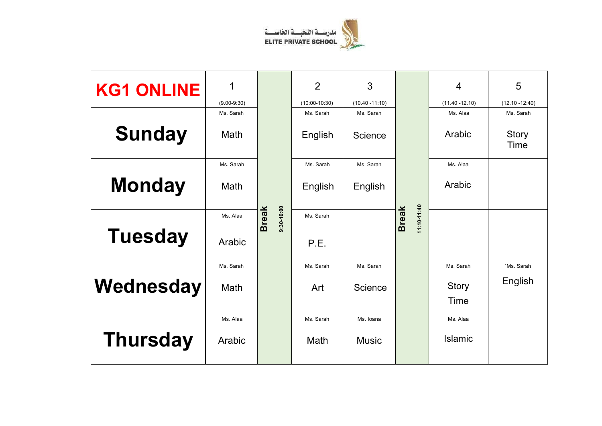

| <b>KG1 ONLINE</b> | 1<br>$(9.00 - 9:30)$ |                             | $\overline{2}$<br>$(10:00-10:30)$ | 3<br>$(10.40 - 11:10)$ |                             | $\overline{4}$<br>$(11.40 - 12.10)$ | 5<br>$(12.10 - 12:40)$      |
|-------------------|----------------------|-----------------------------|-----------------------------------|------------------------|-----------------------------|-------------------------------------|-----------------------------|
|                   | Ms. Sarah            |                             | Ms. Sarah                         | Ms. Sarah              |                             | Ms. Alaa                            | Ms. Sarah                   |
| <b>Sunday</b>     | Math                 |                             | English                           | Science                |                             | Arabic                              | <b>Story</b><br><b>Time</b> |
|                   | Ms. Sarah            |                             | Ms. Sarah                         | Ms. Sarah              |                             | Ms. Alaa                            |                             |
| <b>Monday</b>     | Math                 |                             | English                           | English                |                             | Arabic                              |                             |
|                   | Ms. Alaa             | $0.01-0.30$<br><b>Break</b> | Ms. Sarah                         |                        | 11:10-11:40<br><b>Break</b> |                                     |                             |
| <b>Tuesday</b>    | Arabic               |                             | P.E.                              |                        |                             |                                     |                             |
|                   | Ms. Sarah            |                             | Ms. Sarah                         | Ms. Sarah              |                             | Ms. Sarah                           | `Ms. Sarah                  |
| Wednesday         | Math                 |                             | Art                               | Science                |                             | <b>Story</b><br>Time                | English                     |
|                   | Ms. Alaa             |                             | Ms. Sarah                         | Ms. Ioana              |                             | Ms. Alaa                            |                             |
| <b>Thursday</b>   | Arabic               |                             | Math                              | <b>Music</b>           |                             | Islamic                             |                             |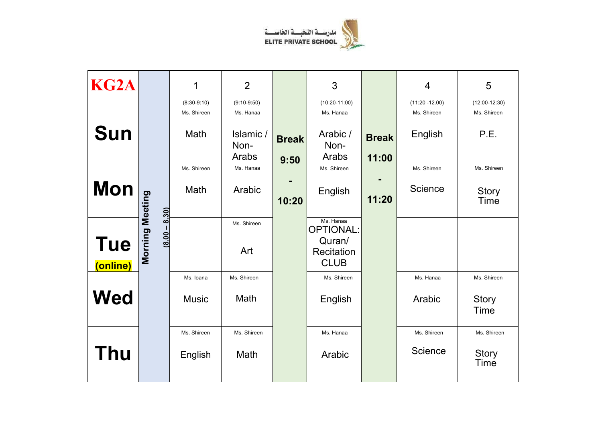

| KG <sub>2</sub> A      |                 | 1             | $\overline{2}$   |              | 3                                   |              | $\overline{4}$    | 5                    |
|------------------------|-----------------|---------------|------------------|--------------|-------------------------------------|--------------|-------------------|----------------------|
|                        |                 | $(8:30-9:10)$ | $(9:10-9:50)$    |              | $(10:20-11:00)$                     |              | $(11:20 - 12.00)$ | $(12:00-12:30)$      |
|                        |                 | Ms. Shireen   | Ms. Hanaa        |              | Ms. Hanaa                           |              | Ms. Shireen       | Ms. Shireen          |
| <b>Sun</b>             |                 | Math          | Islamic/<br>Non- | <b>Break</b> | Arabic /<br>Non-                    | <b>Break</b> | English           | P.E.                 |
|                        |                 |               | Arabs            | 9:50         | Arabs                               | 11:00        |                   |                      |
|                        |                 | Ms. Shireen   | Ms. Hanaa        |              | Ms. Shireen                         |              | Ms. Shireen       | Ms. Shireen          |
| <b>Mon</b>             |                 | Math          | Arabic           |              | English                             |              | Science           | Story                |
|                        | 8.30)           |               |                  | 10:20        |                                     | 11:20        |                   | Time                 |
|                        | $(8.00 -$       |               | Ms. Shireen      |              | Ms. Hanaa<br><b>OPTIONAL:</b>       |              |                   |                      |
| <b>Tue</b><br>(online) | Morning Meeting |               | Art              |              | Quran/<br>Recitation<br><b>CLUB</b> |              |                   |                      |
|                        |                 | Ms. Ioana     | Ms. Shireen      |              | Ms. Shireen                         |              | Ms. Hanaa         | Ms. Shireen          |
| <b>Wed</b>             |                 | <b>Music</b>  | Math             |              | English                             |              | Arabic            | <b>Story</b><br>Time |
|                        |                 | Ms. Shireen   | Ms. Shireen      |              | Ms. Hanaa                           |              | Ms. Shireen       | Ms. Shireen          |
| <b>Thu</b>             |                 | English       | Math             |              | Arabic                              |              | Science           | <b>Story</b><br>Time |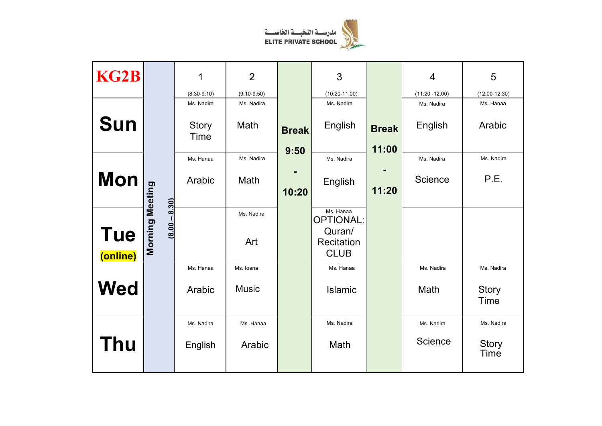

| <b>KG2B</b> |                                 | 1                           | $\overline{2}$     |                      | 3                                       |                       | 4                     | 5                    |
|-------------|---------------------------------|-----------------------------|--------------------|----------------------|-----------------------------------------|-----------------------|-----------------------|----------------------|
|             |                                 | $(8:30-9:10)$               | $(9:10-9:50)$      |                      | $(10:20-11:00)$                         |                       | $(11:20 - 12.00)$     | $(12:00-12:30)$      |
| Sun         |                                 | Ms. Nadira<br>Story<br>Time | Ms. Nadira<br>Math | <b>Break</b><br>9:50 | Ms. Nadira<br>English                   | <b>Break</b><br>11:00 | Ms. Nadira<br>English | Ms. Hanaa<br>Arabic  |
|             |                                 | Ms. Hanaa                   | Ms. Nadira         |                      | Ms. Nadira                              |                       | Ms. Nadira            | Ms. Nadira           |
| <b>Mon</b>  | <b>Morning Meeting</b><br>8.30) | Arabic                      | Math               | 10:20                | English                                 | 11:20                 | Science               | P.E.                 |
| <b>Tue</b>  | $(8.00 -$                       |                             | Ms. Nadira         |                      | Ms. Hanaa<br><b>OPTIONAL:</b><br>Quran/ |                       |                       |                      |
| (online)    |                                 |                             | Art                |                      | Recitation<br><b>CLUB</b>               |                       |                       |                      |
|             |                                 | Ms. Hanaa                   | Ms. Ioana          |                      | Ms. Hanaa                               |                       | Ms. Nadira            | Ms. Nadira           |
| <b>Wed</b>  |                                 | Arabic                      | <b>Music</b>       |                      | Islamic                                 |                       | Math                  | <b>Story</b><br>Time |
|             |                                 | Ms. Nadira                  | Ms. Hanaa          |                      | Ms. Nadira                              |                       | Ms. Nadira            | Ms. Nadira           |
| Thu         |                                 | English                     | Arabic             |                      | Math                                    |                       | Science               | <b>Story</b><br>Time |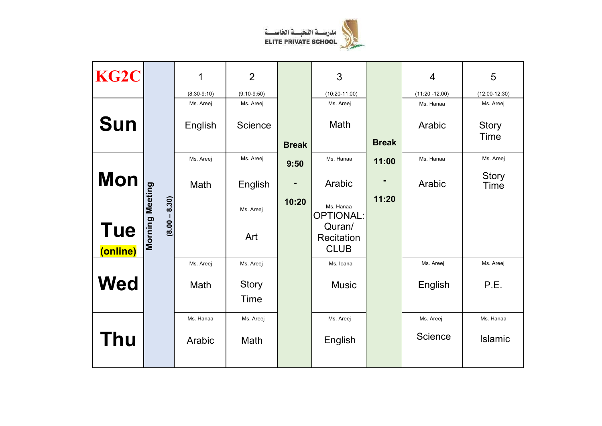

| KG <sub>2</sub> C |                                           | 1             | $\overline{2}$       |              | 3                                                                    |              | $\overline{4}$    | 5                    |
|-------------------|-------------------------------------------|---------------|----------------------|--------------|----------------------------------------------------------------------|--------------|-------------------|----------------------|
|                   |                                           | $(8:30-9:10)$ | $(9:10-9:50)$        |              | $(10:20-11:00)$                                                      |              | $(11:20 - 12.00)$ | $(12:00-12:30)$      |
|                   |                                           | Ms. Areej     | Ms. Areej            |              | Ms. Areej                                                            |              | Ms. Hanaa         | Ms. Areej            |
| <b>Sun</b>        |                                           | English       | Science              | <b>Break</b> | Math                                                                 | <b>Break</b> | Arabic            | <b>Story</b><br>Time |
|                   |                                           | Ms. Areej     | Ms. Areej            |              | Ms. Hanaa                                                            | 11:00        | Ms. Hanaa         | Ms. Areej            |
|                   |                                           |               |                      | 9:50         |                                                                      |              |                   |                      |
| <b>Mon</b>        |                                           | Math          | English              | ٠            | Arabic                                                               |              | Arabic            | <b>Story</b><br>Time |
|                   |                                           |               |                      | 10:20        |                                                                      | 11:20        |                   |                      |
| <b>Tue</b>        | <b>Morning Meeting</b><br>$(8.00 - 8.30)$ |               | Ms. Areej<br>Art     |              | Ms. Hanaa<br><b>OPTIONAL:</b><br>Quran/<br>Recitation<br><b>CLUB</b> |              |                   |                      |
| (online)          |                                           |               |                      |              |                                                                      |              |                   |                      |
|                   |                                           | Ms. Areej     | Ms. Areej            |              | Ms. Ioana                                                            |              | Ms. Areej         | Ms. Areej            |
| <b>Wed</b>        |                                           | Math          | <b>Story</b><br>Time |              | <b>Music</b>                                                         |              | English           | P.E.                 |
|                   |                                           | Ms. Hanaa     | Ms. Areej            |              | Ms. Areej                                                            |              | Ms. Areej         | Ms. Hanaa            |
| <b>Thu</b>        |                                           | Arabic        | Math                 |              | English                                                              |              | Science           | Islamic              |
|                   |                                           |               |                      |              |                                                                      |              |                   |                      |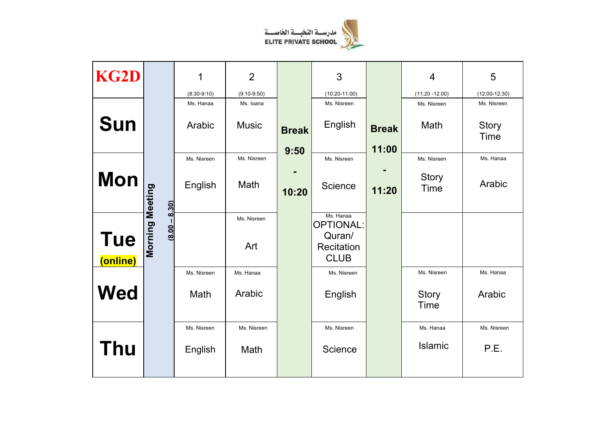

|                                           |               | $\overline{2}$ |              | 3                                   |              | 4                    | 5                           |
|-------------------------------------------|---------------|----------------|--------------|-------------------------------------|--------------|----------------------|-----------------------------|
|                                           | $(8:30-9:10)$ | $(9:10-9:50)$  |              | $(10:20-11:00)$                     |              | $(11:20 - 12.00)$    | $(12:00-12:30)$             |
|                                           | Ms. Hanaa     | Ms. Ioana      |              | Ms. Nisreen                         |              | Ms. Nisreen          | Ms. Nisreen                 |
| <b>Sun</b>                                | Arabic        | <b>Music</b>   | <b>Break</b> | English                             | <b>Break</b> | Math                 | <b>Story</b><br><b>Time</b> |
|                                           |               |                | 9:50         |                                     | 11:00        |                      |                             |
|                                           | Ms. Nisreen   | Ms. Nisreen    |              | Ms. Nisreen                         |              | Ms. Nisreen          | Ms. Hanaa                   |
| <b>Mon</b>                                | English       | Math           | 10:20        | Science                             | 11:20        | Story<br><b>Time</b> | Arabic                      |
| 8.30)                                     |               |                |              |                                     |              |                      |                             |
| (8.00)                                    |               | Ms. Nisreen    |              | Ms. Hanaa<br><b>OPTIONAL:</b>       |              |                      |                             |
| Morning Meeting<br><b>Tue</b><br>(online) |               | Art            |              | Quran/<br>Recitation<br><b>CLUB</b> |              |                      |                             |
|                                           | Ms. Nisreen   | Ms. Hanaa      |              | Ms. Nisreen                         |              | Ms. Nisreen          | Ms. Hanaa                   |
| <b>Wed</b>                                | Math          | Arabic         |              | English                             |              | <b>Story</b><br>Time | Arabic                      |
|                                           | Ms. Nisreen   | Ms. Nisreen    |              | Ms. Nisreen                         |              | Ms. Hanaa            | Ms. Nisreen                 |
| Thu                                       | English       | Math           |              | Science                             |              | <b>Islamic</b>       | P.E.                        |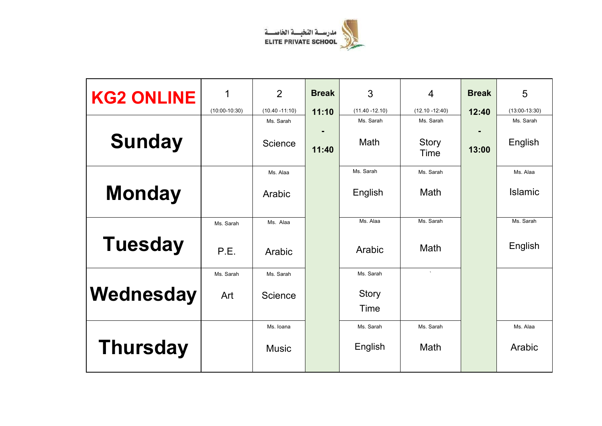

| <b>KG2 ONLINE</b> | 1               | $\overline{2}$    | <b>Break</b> | 3                    | $\overline{4}$    | <b>Break</b> | 5               |
|-------------------|-----------------|-------------------|--------------|----------------------|-------------------|--------------|-----------------|
|                   | $(10:00-10:30)$ | $(10.40 - 11:10)$ | 11:10        | $(11.40 - 12.10)$    | $(12.10 - 12:40)$ | 12:40        | $(13:00-13:30)$ |
|                   |                 | Ms. Sarah         |              | Ms. Sarah            | Ms. Sarah         |              | Ms. Sarah       |
| <b>Sunday</b>     |                 | Science           | 11:40        | Math                 | Story<br>Time     | 13:00        | English         |
|                   |                 | Ms. Alaa          |              | Ms. Sarah            | Ms. Sarah         |              | Ms. Alaa        |
| <b>Monday</b>     |                 | Arabic            |              | English              | Math              |              | <b>Islamic</b>  |
|                   | Ms. Sarah       | Ms. Alaa          |              | Ms. Alaa             | Ms. Sarah         |              | Ms. Sarah       |
| <b>Tuesday</b>    | P.E.            | Arabic            |              | Arabic               | Math              |              | English         |
|                   | Ms. Sarah       | Ms. Sarah         |              | Ms. Sarah            | $\cdot$           |              |                 |
| Wednesday         | Art             | Science           |              | <b>Story</b><br>Time |                   |              |                 |
|                   |                 | Ms. Ioana         |              | Ms. Sarah            | Ms. Sarah         |              | Ms. Alaa        |
| <b>Thursday</b>   |                 | <b>Music</b>      |              | English              | Math              |              | Arabic          |